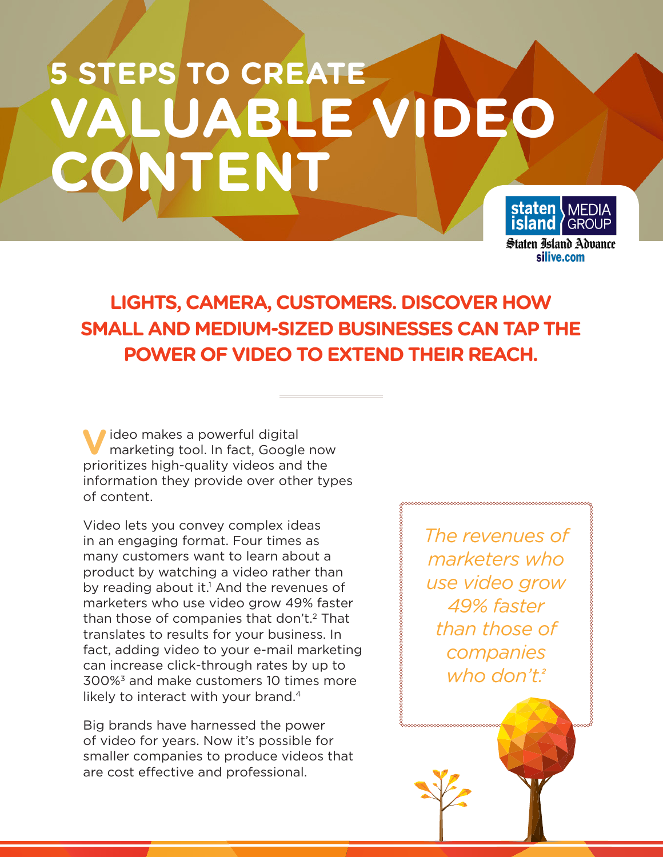# **5 STEPS TO CREATE VALUABLE VIDEO CONTENT**



# **LIGHTS, CAMERA, CUSTOMERS. DISCOVER HOW SMALL AND MEDIUM-SIZED BUSINESSES CAN TAP THE POWER OF VIDEO TO EXTEND THEIR REACH.**

**V**ideo makes a powerful digital marketing tool. In fact, Google now prioritizes high-quality videos and the information they provide over other types of content.

Video lets you convey complex ideas in an engaging format. Four times as many customers want to learn about a product by watching a video rather than by reading about it.<sup>1</sup> And the revenues of marketers who use video grow 49% faster than those of companies that don't.<sup>2</sup> That translates to results for your business. In fact, adding video to your e-mail marketing can increase click-through rates by up to 300%3 and make customers 10 times more likely to interact with your brand.<sup>4</sup>

Big brands have harnessed the power of video for years. Now it's possible for smaller companies to produce videos that are cost effective and professional.

*The revenues of marketers who use video grow 49% faster than those of companies who don't.2*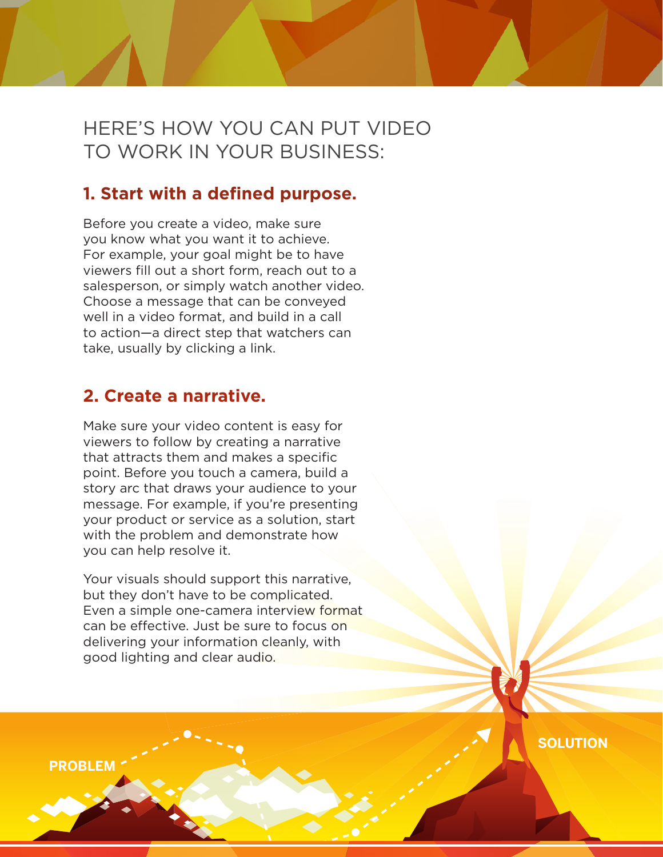## HERE'S HOW YOU CAN PUT VIDEO TO WORK IN YOUR BUSINESS:

## **1. Start with a defined purpose.**

Before you create a video, make sure you know what you want it to achieve. For example, your goal might be to have viewers fill out a short form, reach out to a salesperson, or simply watch another video. Choose a message that can be conveyed well in a video format, and build in a call to action—a direct step that watchers can take, usually by clicking a link.

### **2. Create a narrative.**

Make sure your video content is easy for viewers to follow by creating a narrative that attracts them and makes a specific point. Before you touch a camera, build a story arc that draws your audience to your message. For example, if you're presenting your product or service as a solution, start with the problem and demonstrate how you can help resolve it.

Your visuals should support this narrative, but they don't have to be complicated. Even a simple one-camera interview format can be effective. Just be sure to focus on delivering your information cleanly, with good lighting and clear audio.

**SOLUTION**

**PROBLEM**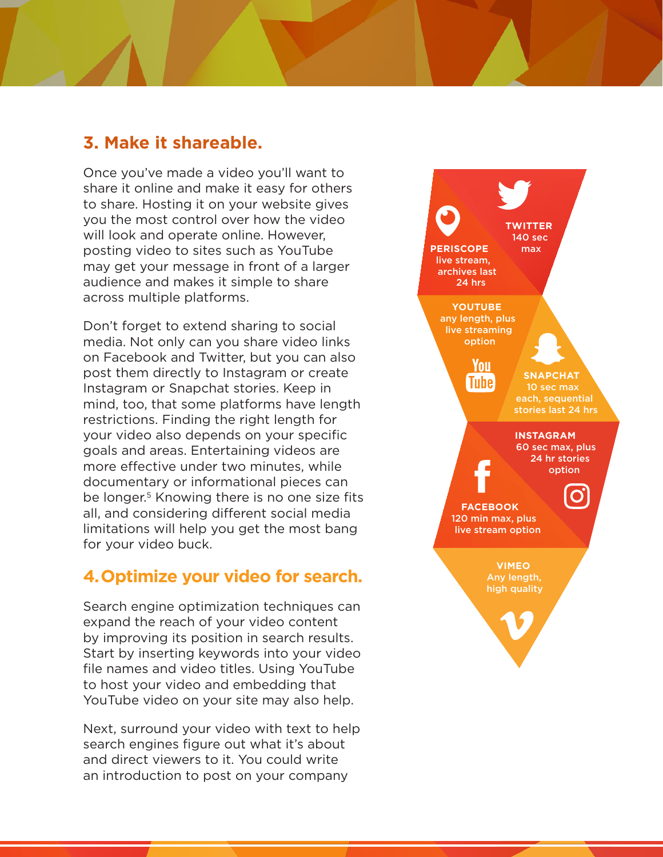#### **3. Make it shareable.**

Once you've made a video you'll want to share it online and make it easy for others to share. Hosting it on your website gives you the most control over how the video will look and operate online. However, posting video to sites such as YouTube may get your message in front of a larger audience and makes it simple to share across multiple platforms.

Don't forget to extend sharing to social media. Not only can you share video links on Facebook and Twitter, but you can also post them directly to Instagram or create Instagram or Snapchat stories. Keep in mind, too, that some platforms have length restrictions. Finding the right length for your video also depends on your specific goals and areas. Entertaining videos are more effective under two minutes, while documentary or informational pieces can be longer.<sup>5</sup> Knowing there is no one size fits all, and considering different social media limitations will help you get the most bang for your video buck.

#### **4. Optimize your video for search.**

Search engine optimization techniques can expand the reach of your video content by improving its position in search results. Start by inserting keywords into your video file names and video titles. Using YouTube to host your video and embedding that YouTube video on your site may also help.

Next, surround your video with text to help search engines figure out what it's about and direct viewers to it. You could write an introduction to post on your company